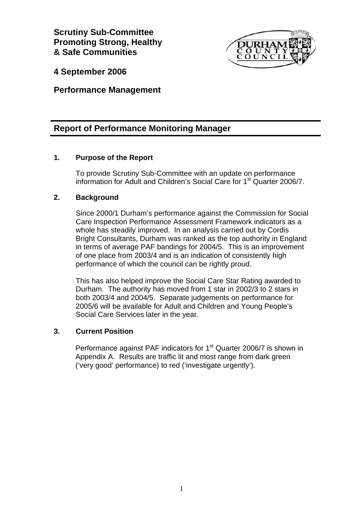**Scrutiny Sub-Committee Promoting Strong, Healthy & Safe Communities** 



**4 September 2006** 

**Performance Management** 

# **Report of Performance Monitoring Manager**

### **1. Purpose of the Report**

 To provide Scrutiny Sub-Committee with an update on performance information for Adult and Children's Social Care for 1<sup>st</sup> Quarter 2006/7.

### **2. Background**

Since 2000/1 Durham's performance against the Commission for Social Care Inspection Performance Assessment Framework indicators as a whole has steadily improved. In an analysis carried out by Cordis Bright Consultants, Durham was ranked as the top authority in England in terms of average PAF bandings for 2004/5. This is an improvement of one place from 2003/4 and is an indication of consistently high performance of which the council can be rightly proud.

This has also helped improve the Social Care Star Rating awarded to Durham. The authority has moved from 1 star in 2002/3 to 2 stars in both 2003/4 and 2004/5. Separate judgements on performance for 2005/6 will be available for Adult and Children and Young People's Social Care Services later in the year.

### **3. Current Position**

Performance against PAF indicators for 1<sup>st</sup> Quarter 2006/7 is shown in Appendix A. Results are traffic lit and most range from dark green ('very good' performance) to red ('investigate urgently').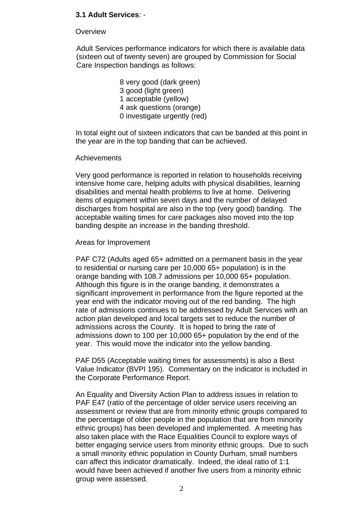### **3.1 Adult Services**: -

#### **Overview**

Adult Services performance indicators for which there is available data (sixteen out of twenty seven) are grouped by Commission for Social Care Inspection bandings as follows:

> 8 very good (dark green) 3 good (light green) 1 acceptable (yellow) 4 ask questions (orange) 0 investigate urgently (red)

In total eight out of sixteen indicators that can be banded at this point in the year are in the top banding that can be achieved.

#### Achievements

Very good performance is reported in relation to households receiving intensive home care, helping adults with physical disabilities, learning disabilities and mental health problems to live at home. Delivering items of equipment within seven days and the number of delayed discharges from hospital are also in the top (very good) banding. The acceptable waiting times for care packages also moved into the top banding despite an increase in the banding threshold.

#### Areas for Improvement

PAF C72 (Adults aged 65+ admitted on a permanent basis in the year to residential or nursing care per 10,000 65+ population) is in the orange banding with 108.7 admissions per 10,000 65+ population. Although this figure is in the orange banding, it demonstrates a significant improvement in performance from the figure reported at the year end with the indicator moving out of the red banding. The high rate of admissions continues to be addressed by Adult Services with an action plan developed and local targets set to reduce the number of admissions across the County. It is hoped to bring the rate of admissions down to 100 per 10,000 65+ population by the end of the year. This would move the indicator into the yellow banding.

PAF D55 (Acceptable waiting times for assessments) is also a Best Value Indicator (BVPI 195). Commentary on the indicator is included in the Corporate Performance Report.

An Equality and Diversity Action Plan to address issues in relation to PAF E47 (ratio of the percentage of older service users receiving an assessment or review that are from minority ethnic groups compared to the percentage of older people in the population that are from minority ethnic groups) has been developed and implemented. A meeting has also taken place with the Race Equalities Council to explore ways of better engaging service users from minority ethnic groups. Due to such a small minority ethnic population in County Durham, small numbers can affect this indicator dramatically. Indeed, the ideal ratio of 1:1 would have been achieved if another five users from a minority ethnic group were assessed.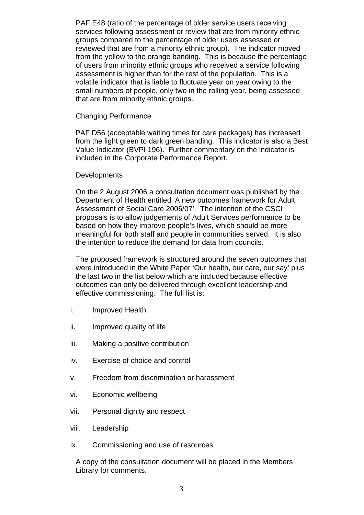PAF E48 (ratio of the percentage of older service users receiving services following assessment or review that are from minority ethnic groups compared to the percentage of older users assessed or reviewed that are from a minority ethnic group). The indicator moved from the yellow to the orange banding. This is because the percentage of users from minority ethnic groups who received a service following assessment is higher than for the rest of the population. This is a volatile indicator that is liable to fluctuate year on year owing to the small numbers of people, only two in the rolling year, being assessed that are from minority ethnic groups.

#### Changing Performance

PAF D56 (acceptable waiting times for care packages) has increased from the light green to dark green banding. This indicator is also a Best Value Indicator (BVPI 196). Further commentary on the indicator is included in the Corporate Performance Report.

#### **Developments**

On the 2 August 2006 a consultation document was published by the Department of Health entitled 'A new outcomes framework for Adult Assessment of Social Care 2006/07'. The intention of the CSCI proposals is to allow judgements of Adult Services performance to be based on how they improve people's lives, which should be more meaningful for both staff and people in communities served. It is also the intention to reduce the demand for data from councils.

The proposed framework is structured around the seven outcomes that were introduced in the White Paper 'Our health, our care, our say' plus the last two in the list below which are included because effective outcomes can only be delivered through excellent leadership and effective commissioning. The full list is:

- i. Improved Health
- ii. Improved quality of life
- iii. Making a positive contribution
- iv. Exercise of choice and control
- v. Freedom from discrimination or harassment
- vi. Economic wellbeing
- vii. Personal dignity and respect
- viii. Leadership
- ix. Commissioning and use of resources

A copy of the consultation document will be placed in the Members Library for comments.